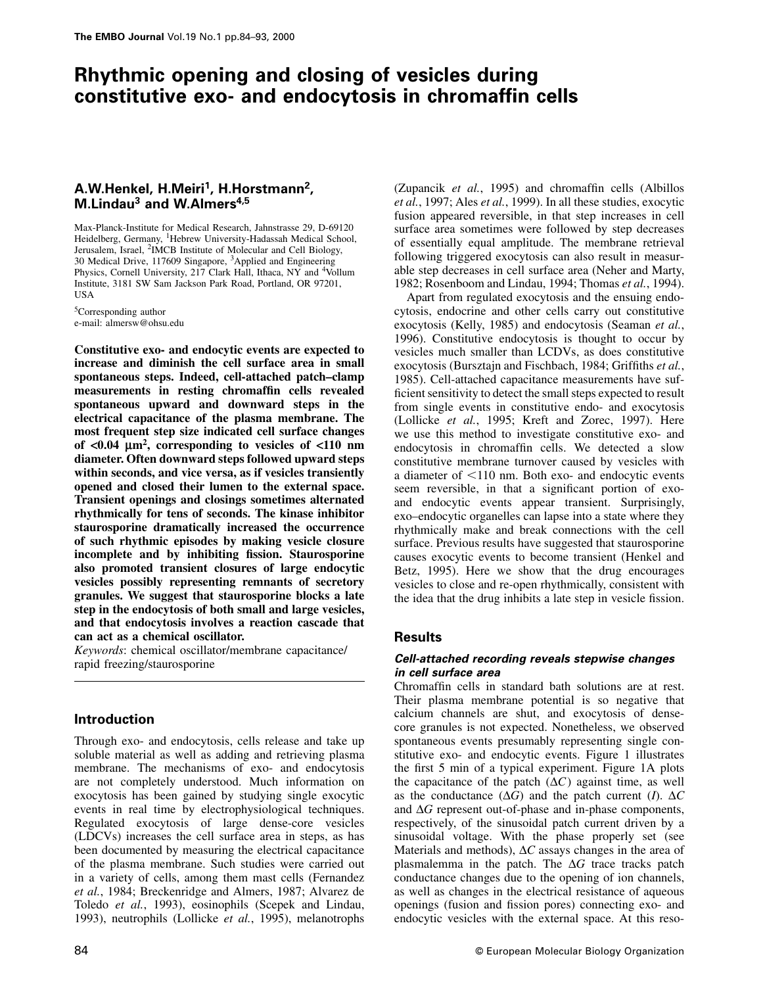# **Rhythmic opening and closing of vesicles during constitutive exo- and endocytosis in chromaffin cells**

# **A.W.Henkel, H.Meiri1, H.Horstmann2, M.Lindau3 and W.Almers4,5**

Max-Planck-Institute for Medical Research, Jahnstrasse 29, D-69120 Heidelberg, Germany, <sup>1</sup>Hebrew University-Hadassah Medical School, Jerusalem, Israel, <sup>2</sup>IMCB Institute of Molecular and Cell Biology, 30 Medical Drive, 117609 Singapore, 3Applied and Engineering Physics, Cornell University, 217 Clark Hall, Ithaca, NY and <sup>4</sup>Vollum Institute, 3181 SW Sam Jackson Park Road, Portland, OR 97201, USA

5Corresponding author e-mail: almersw@ohsu.edu

**Constitutive exo- and endocytic events are expected to increase and diminish the cell surface area in small spontaneous steps. Indeed, cell-attached patch–clamp measurements in resting chromaffin cells revealed spontaneous upward and downward steps in the electrical capacitance of the plasma membrane. The most frequent step size indicated cell surface changes of <0.04 µm2, corresponding to vesicles of <110 nm diameter. Often downward steps followed upward steps within seconds, and vice versa, as if vesicles transiently opened and closed their lumen to the external space. Transient openings and closings sometimes alternated rhythmically for tens of seconds. The kinase inhibitor staurosporine dramatically increased the occurrence of such rhythmic episodes by making vesicle closure incomplete and by inhibiting fission. Staurosporine also promoted transient closures of large endocytic vesicles possibly representing remnants of secretory granules. We suggest that staurosporine blocks a late step in the endocytosis of both small and large vesicles, and that endocytosis involves a reaction cascade that can act as a chemical oscillator.**

*Keywords*: chemical oscillator/membrane capacitance/ rapid freezing/staurosporine

## **Introduction**

Through exo- and endocytosis, cells release and take up soluble material as well as adding and retrieving plasma membrane. The mechanisms of exo- and endocytosis are not completely understood. Much information on exocytosis has been gained by studying single exocytic events in real time by electrophysiological techniques. Regulated exocytosis of large dense-core vesicles (LDCVs) increases the cell surface area in steps, as has been documented by measuring the electrical capacitance of the plasma membrane. Such studies were carried out in a variety of cells, among them mast cells (Fernandez *et al.*, 1984; Breckenridge and Almers, 1987; Alvarez de Toledo *et al.*, 1993), eosinophils (Scepek and Lindau, 1993), neutrophils (Lollicke *et al.*, 1995), melanotrophs (Zupancik *et al.*, 1995) and chromaffin cells (Albillos *et al.*, 1997; Ales *et al.*, 1999). In all these studies, exocytic fusion appeared reversible, in that step increases in cell surface area sometimes were followed by step decreases of essentially equal amplitude. The membrane retrieval following triggered exocytosis can also result in measurable step decreases in cell surface area (Neher and Marty, 1982; Rosenboom and Lindau, 1994; Thomas *et al.*, 1994).

Apart from regulated exocytosis and the ensuing endocytosis, endocrine and other cells carry out constitutive exocytosis (Kelly, 1985) and endocytosis (Seaman *et al.*, 1996). Constitutive endocytosis is thought to occur by vesicles much smaller than LCDVs, as does constitutive exocytosis (Bursztajn and Fischbach, 1984; Griffiths *et al.*, 1985). Cell-attached capacitance measurements have sufficient sensitivity to detect the small steps expected to result from single events in constitutive endo- and exocytosis (Lollicke *et al.*, 1995; Kreft and Zorec, 1997). Here we use this method to investigate constitutive exo- and endocytosis in chromaffin cells. We detected a slow constitutive membrane turnover caused by vesicles with a diameter of  $<$ 110 nm. Both exo- and endocytic events seem reversible, in that a significant portion of exoand endocytic events appear transient. Surprisingly, exo–endocytic organelles can lapse into a state where they rhythmically make and break connections with the cell surface. Previous results have suggested that staurosporine causes exocytic events to become transient (Henkel and Betz, 1995). Here we show that the drug encourages vesicles to close and re-open rhythmically, consistent with the idea that the drug inhibits a late step in vesicle fission.

## **Results**

## *Cell-attached recording reveals stepwise changes in cell surface area*

Chromaffin cells in standard bath solutions are at rest. Their plasma membrane potential is so negative that calcium channels are shut, and exocytosis of densecore granules is not expected. Nonetheless, we observed spontaneous events presumably representing single constitutive exo- and endocytic events. Figure 1 illustrates the first 5 min of a typical experiment. Figure 1A plots the capacitance of the patch  $(\Delta C)$  against time, as well as the conductance  $(\Delta G)$  and the patch current (*I*).  $\Delta C$ and ∆*G* represent out-of-phase and in-phase components, respectively, of the sinusoidal patch current driven by a sinusoidal voltage. With the phase properly set (see Materials and methods), ∆*C* assays changes in the area of plasmalemma in the patch. The ∆*G* trace tracks patch conductance changes due to the opening of ion channels, as well as changes in the electrical resistance of aqueous openings (fusion and fission pores) connecting exo- and endocytic vesicles with the external space. At this reso-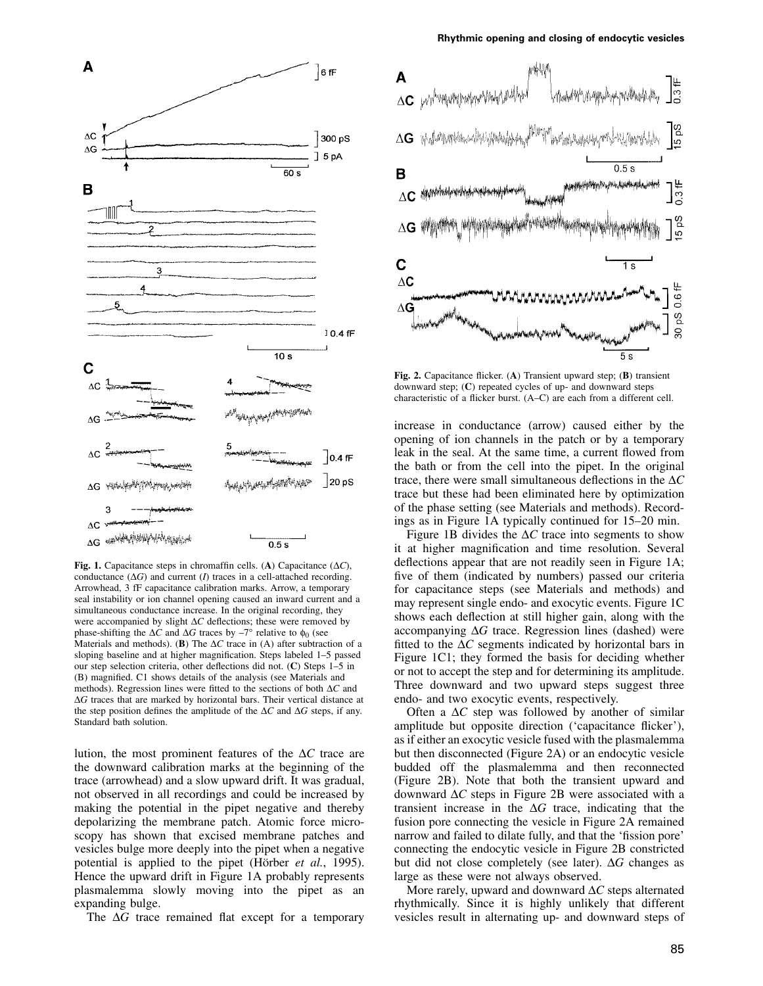



**Fig. 1.** Capacitance steps in chromaffin cells. (**A**) Capacitance (∆*C*), conductance (∆*G*) and current (*I*) traces in a cell-attached recording. Arrowhead, 3 fF capacitance calibration marks. Arrow, a temporary seal instability or ion channel opening caused an inward current and a simultaneous conductance increase. In the original recording, they were accompanied by slight ∆*C* deflections; these were removed by phase-shifting the  $\Delta C$  and  $\Delta G$  traces by –7° relative to  $φ_0$  (see Materials and methods). (**B**) The ∆*C* trace in (A) after subtraction of a sloping baseline and at higher magnification. Steps labeled 1–5 passed our step selection criteria, other deflections did not. (**C**) Steps 1–5 in (B) magnified. C1 shows details of the analysis (see Materials and methods). Regression lines were fitted to the sections of both ∆*C* and ∆*G* traces that are marked by horizontal bars. Their vertical distance at the step position defines the amplitude of the ∆*C* and ∆*G* steps, if any. Standard bath solution.

lution, the most prominent features of the ∆*C* trace are the downward calibration marks at the beginning of the trace (arrowhead) and a slow upward drift. It was gradual, not observed in all recordings and could be increased by making the potential in the pipet negative and thereby depolarizing the membrane patch. Atomic force microscopy has shown that excised membrane patches and vesicles bulge more deeply into the pipet when a negative potential is applied to the pipet (Hörber *et al.*, 1995). Hence the upward drift in Figure 1A probably represents plasmalemma slowly moving into the pipet as an expanding bulge.

The ∆*G* trace remained flat except for a temporary



**Fig. 2.** Capacitance flicker. (**A**) Transient upward step; (**B**) transient downward step; (**C**) repeated cycles of up- and downward steps characteristic of a flicker burst. (A–C) are each from a different cell.

increase in conductance (arrow) caused either by the opening of ion channels in the patch or by a temporary leak in the seal. At the same time, a current flowed from the bath or from the cell into the pipet. In the original trace, there were small simultaneous deflections in the ∆*C* trace but these had been eliminated here by optimization of the phase setting (see Materials and methods). Recordings as in Figure 1A typically continued for 15–20 min.

Figure 1B divides the ∆*C* trace into segments to show it at higher magnification and time resolution. Several deflections appear that are not readily seen in Figure 1A; five of them (indicated by numbers) passed our criteria for capacitance steps (see Materials and methods) and may represent single endo- and exocytic events. Figure 1C shows each deflection at still higher gain, along with the accompanying ∆*G* trace. Regression lines (dashed) were fitted to the ∆*C* segments indicated by horizontal bars in Figure 1C1; they formed the basis for deciding whether or not to accept the step and for determining its amplitude. Three downward and two upward steps suggest three endo- and two exocytic events, respectively.

Often a ∆*C* step was followed by another of similar amplitude but opposite direction ('capacitance flicker'), as if either an exocytic vesicle fused with the plasmalemma but then disconnected (Figure 2A) or an endocytic vesicle budded off the plasmalemma and then reconnected (Figure 2B). Note that both the transient upward and downward ∆*C* steps in Figure 2B were associated with a transient increase in the ∆*G* trace, indicating that the fusion pore connecting the vesicle in Figure 2A remained narrow and failed to dilate fully, and that the 'fission pore' connecting the endocytic vesicle in Figure 2B constricted but did not close completely (see later). ∆*G* changes as large as these were not always observed.

More rarely, upward and downward ∆*C* steps alternated rhythmically. Since it is highly unlikely that different vesicles result in alternating up- and downward steps of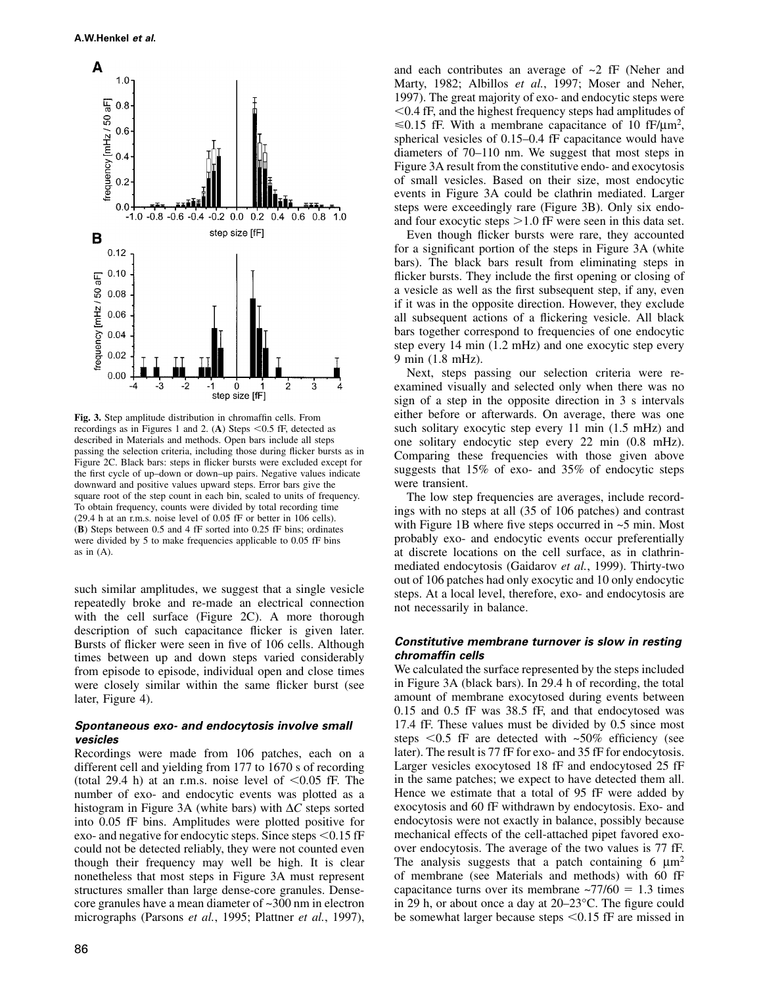

**Fig. 3.** Step amplitude distribution in chromaffin cells. From recordings as in Figures 1 and 2. (A) Steps  $\leq 0.5$  fF, detected as described in Materials and methods. Open bars include all steps passing the selection criteria, including those during flicker bursts as in Figure 2C. Black bars: steps in flicker bursts were excluded except for the first cycle of up–down or down–up pairs. Negative values indicate downward and positive values upward steps. Error bars give the square root of the step count in each bin, scaled to units of frequency. To obtain frequency, counts were divided by total recording time (29.4 h at an r.m.s. noise level of 0.05 fF or better in 106 cells). (**B**) Steps between 0.5 and 4 fF sorted into 0.25 fF bins; ordinates were divided by 5 to make frequencies applicable to 0.05 fF bins as in (A).

such similar amplitudes, we suggest that a single vesicle repeatedly broke and re-made an electrical connection with the cell surface (Figure 2C). A more thorough description of such capacitance flicker is given later. Bursts of flicker were seen in five of 106 cells. Although times between up and down steps varied considerably from episode to episode, individual open and close times were closely similar within the same flicker burst (see later, Figure 4).

## *Spontaneous exo- and endocytosis involve small vesicles*

Recordings were made from 106 patches, each on a different cell and yielding from 177 to 1670 s of recording (total 29.4 h) at an r.m.s. noise level of  $\leq 0.05$  fF. The number of exo- and endocytic events was plotted as a histogram in Figure 3A (white bars) with ∆*C* steps sorted into 0.05 fF bins. Amplitudes were plotted positive for exo- and negative for endocytic steps. Since steps  $\leq 0.15$  fF could not be detected reliably, they were not counted even though their frequency may well be high. It is clear nonetheless that most steps in Figure 3A must represent structures smaller than large dense-core granules. Densecore granules have a mean diameter of ~300 nm in electron micrographs (Parsons *et al.*, 1995; Plattner *et al.*, 1997),

and each contributes an average of ~2 fF (Neher and Marty, 1982; Albillos et al., 1997; Moser and Neher, 1997). The great majority of exo- and endocytic steps were 0.4 fF, and the highest frequency steps had amplitudes of  $\leq 0.15$  fF. With a membrane capacitance of 10 fF/ $\mu$ m<sup>2</sup>, spherical vesicles of 0.15–0.4 fF capacitance would have diameters of 70–110 nm. We suggest that most steps in Figure 3A result from the constitutive endo- and exocytosis of small vesicles. Based on their size, most endocytic events in Figure 3A could be clathrin mediated. Larger steps were exceedingly rare (Figure 3B). Only six endoand four exocytic steps  $>1.0$  fF were seen in this data set.

Even though flicker bursts were rare, they accounted for a significant portion of the steps in Figure 3A (white bars). The black bars result from eliminating steps in flicker bursts. They include the first opening or closing of a vesicle as well as the first subsequent step, if any, even if it was in the opposite direction. However, they exclude all subsequent actions of a flickering vesicle. All black bars together correspond to frequencies of one endocytic step every 14 min (1.2 mHz) and one exocytic step every 9 min (1.8 mHz).

Next, steps passing our selection criteria were reexamined visually and selected only when there was no sign of a step in the opposite direction in 3 s intervals either before or afterwards. On average, there was one such solitary exocytic step every 11 min (1.5 mHz) and one solitary endocytic step every 22 min (0.8 mHz). Comparing these frequencies with those given above suggests that 15% of exo- and 35% of endocytic steps were transient.

The low step frequencies are averages, include recordings with no steps at all (35 of 106 patches) and contrast with Figure 1B where five steps occurred in  $\sim$ 5 min. Most probably exo- and endocytic events occur preferentially at discrete locations on the cell surface, as in clathrinmediated endocytosis (Gaidarov *et al.*, 1999). Thirty-two out of 106 patches had only exocytic and 10 only endocytic steps. At a local level, therefore, exo- and endocytosis are not necessarily in balance.

## *Constitutive membrane turnover is slow in resting chromaffin cells*

We calculated the surface represented by the steps included in Figure 3A (black bars). In 29.4 h of recording, the total amount of membrane exocytosed during events between 0.15 and 0.5 fF was 38.5 fF, and that endocytosed was 17.4 fF. These values must be divided by 0.5 since most steps  $\le 0.5$  fF are detected with  $\sim 50\%$  efficiency (see later). The result is 77 fF for exo- and 35 fF for endocytosis. Larger vesicles exocytosed 18 fF and endocytosed 25 fF in the same patches; we expect to have detected them all. Hence we estimate that a total of 95 fF were added by exocytosis and 60 fF withdrawn by endocytosis. Exo- and endocytosis were not exactly in balance, possibly because mechanical effects of the cell-attached pipet favored exoover endocytosis. The average of the two values is 77 fF. The analysis suggests that a patch containing 6  $\mu$ m<sup>2</sup> of membrane (see Materials and methods) with 60 fF capacitance turns over its membrane  $\approx$ 77/60 = 1.3 times in 29 h, or about once a day at 20–23°C. The figure could be somewhat larger because steps  $\leq 0.15$  fF are missed in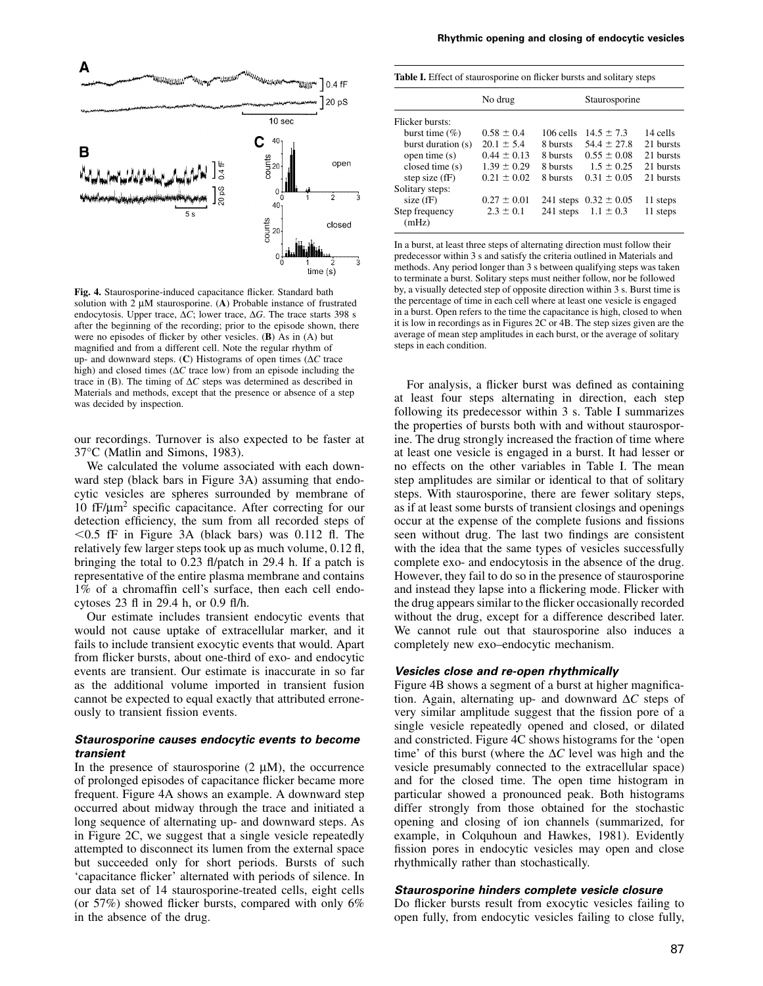

**Fig. 4.** Staurosporine-induced capacitance flicker. Standard bath solution with 2 µM staurosporine. (**A**) Probable instance of frustrated endocytosis. Upper trace, ∆*C*; lower trace, ∆*G*. The trace starts 398 s after the beginning of the recording; prior to the episode shown, there were no episodes of flicker by other vesicles. (**B**) As in (A) but magnified and from a different cell. Note the regular rhythm of up- and downward steps. (**C**) Histograms of open times (∆*C* trace high) and closed times (∆*C* trace low) from an episode including the trace in (B). The timing of ∆*C* steps was determined as described in Materials and methods, except that the presence or absence of a step was decided by inspection.

our recordings. Turnover is also expected to be faster at 37°C (Matlin and Simons, 1983).

We calculated the volume associated with each downward step (black bars in Figure 3A) assuming that endocytic vesicles are spheres surrounded by membrane of 10 fF/µm<sup>2</sup> specific capacitance. After correcting for our detection efficiency, the sum from all recorded steps of  $0.5$  fF in Figure 3A (black bars) was 0.112 fl. The relatively few larger steps took up as much volume, 0.12 fl, bringing the total to 0.23 fl/patch in 29.4 h. If a patch is representative of the entire plasma membrane and contains 1% of a chromaffin cell's surface, then each cell endocytoses 23 fl in 29.4 h, or 0.9 fl/h.

Our estimate includes transient endocytic events that would not cause uptake of extracellular marker, and it fails to include transient exocytic events that would. Apart from flicker bursts, about one-third of exo- and endocytic events are transient. Our estimate is inaccurate in so far as the additional volume imported in transient fusion cannot be expected to equal exactly that attributed erroneously to transient fission events.

## *Staurosporine causes endocytic events to become transient*

In the presence of staurosporine  $(2 \mu M)$ , the occurrence of prolonged episodes of capacitance flicker became more frequent. Figure 4A shows an example. A downward step occurred about midway through the trace and initiated a long sequence of alternating up- and downward steps. As in Figure 2C, we suggest that a single vesicle repeatedly attempted to disconnect its lumen from the external space but succeeded only for short periods. Bursts of such 'capacitance flicker' alternated with periods of silence. In our data set of 14 staurosporine-treated cells, eight cells (or  $57\%$ ) showed flicker bursts, compared with only 6% in the absence of the drug.

**Table I.** Effect of staurosporine on flicker bursts and solitary steps

|                         | No drug         |           | Staurosporine             |           |
|-------------------------|-----------------|-----------|---------------------------|-----------|
| Flicker bursts:         |                 |           |                           |           |
| burst time $(\%)$       | $0.58 \pm 0.4$  | 106 cells | $14.5 \pm 7.3$            | 14 cells  |
| burst duration (s)      | $20.1 \pm 5.4$  | 8 bursts  | $54.4 \pm 27.8$           | 21 bursts |
| open time (s)           | $0.44 + 0.13$   | 8 bursts  | $0.55 + 0.08$             | 21 bursts |
| closed time (s)         | $1.39 \pm 0.29$ | 8 bursts  | $1.5 \pm 0.25$            | 21 bursts |
| step size $(fF)$        | $0.21 \pm 0.02$ | 8 bursts  | $0.31 + 0.05$             | 21 bursts |
| Solitary steps:         |                 |           |                           |           |
| size $(fF)$             | $0.27 \pm 0.01$ |           | 241 steps $0.32 \pm 0.05$ | 11 steps  |
| Step frequency<br>(mHz) | $2.3 \pm 0.1$   |           | 241 steps $1.1 \pm 0.3$   | 11 steps  |

In a burst, at least three steps of alternating direction must follow their predecessor within 3 s and satisfy the criteria outlined in Materials and methods. Any period longer than 3 s between qualifying steps was taken to terminate a burst. Solitary steps must neither follow, nor be followed by, a visually detected step of opposite direction within 3 s. Burst time is the percentage of time in each cell where at least one vesicle is engaged in a burst. Open refers to the time the capacitance is high, closed to when it is low in recordings as in Figures 2C or 4B. The step sizes given are the average of mean step amplitudes in each burst, or the average of solitary steps in each condition.

For analysis, a flicker burst was defined as containing at least four steps alternating in direction, each step following its predecessor within 3 s. Table I summarizes the properties of bursts both with and without staurosporine. The drug strongly increased the fraction of time where at least one vesicle is engaged in a burst. It had lesser or no effects on the other variables in Table I. The mean step amplitudes are similar or identical to that of solitary steps. With staurosporine, there are fewer solitary steps, as if at least some bursts of transient closings and openings occur at the expense of the complete fusions and fissions seen without drug. The last two findings are consistent with the idea that the same types of vesicles successfully complete exo- and endocytosis in the absence of the drug. However, they fail to do so in the presence of staurosporine and instead they lapse into a flickering mode. Flicker with the drug appears similar to the flicker occasionally recorded without the drug, except for a difference described later. We cannot rule out that staurosporine also induces a completely new exo–endocytic mechanism.

### *Vesicles close and re-open rhythmically*

Figure 4B shows a segment of a burst at higher magnification. Again, alternating up- and downward ∆*C* steps of very similar amplitude suggest that the fission pore of a single vesicle repeatedly opened and closed, or dilated and constricted. Figure 4C shows histograms for the 'open time' of this burst (where the ∆*C* level was high and the vesicle presumably connected to the extracellular space) and for the closed time. The open time histogram in particular showed a pronounced peak. Both histograms differ strongly from those obtained for the stochastic opening and closing of ion channels (summarized, for example, in Colquhoun and Hawkes, 1981). Evidently fission pores in endocytic vesicles may open and close rhythmically rather than stochastically.

## *Staurosporine hinders complete vesicle closure*

Do flicker bursts result from exocytic vesicles failing to open fully, from endocytic vesicles failing to close fully,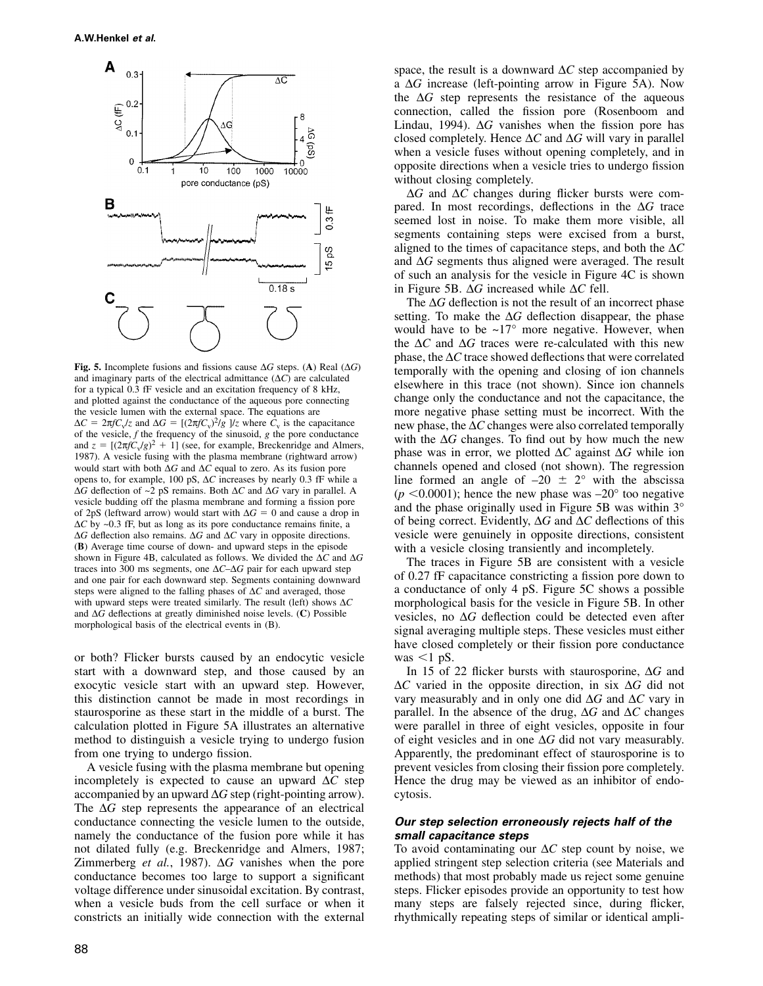

**Fig. 5.** Incomplete fusions and fissions cause ∆*G* steps. (**A**) Real (∆*G*) and imaginary parts of the electrical admittance (∆*C*) are calculated for a typical 0.3 fF vesicle and an excitation frequency of 8 kHz, and plotted against the conductance of the aqueous pore connecting the vesicle lumen with the external space. The equations are  $\Delta C = 2\pi f C_v / z$  and  $\Delta G = [(2\pi f C_v)^2 / g] / z$  where  $\overline{C_v}$  is the capacitance of the vesicle, *f* the frequency of the sinusoid, *g* the pore conductance and  $z = [(2\pi f \dot{C}_v/g)^2 + 1]$  (see, for example, Breckenridge and Almers, 1987). A vesicle fusing with the plasma membrane (rightward arrow) would start with both ∆*G* and ∆*C* equal to zero. As its fusion pore opens to, for example, 100 pS, ∆*C* increases by nearly 0.3 fF while a ∆*G* deflection of ~2 pS remains. Both ∆*C* and ∆*G* vary in parallel. A vesicle budding off the plasma membrane and forming a fission pore of 2pS (leftward arrow) would start with  $\Delta G = 0$  and cause a drop in ∆*C* by ~0.3 fF, but as long as its pore conductance remains finite, a ∆*G* deflection also remains. ∆*G* and ∆*C* vary in opposite directions. (**B**) Average time course of down- and upward steps in the episode shown in Figure 4B, calculated as follows. We divided the ∆*C* and ∆*G* traces into 300 ms segments, one ∆*C*–∆*G* pair for each upward step and one pair for each downward step. Segments containing downward steps were aligned to the falling phases of ∆*C* and averaged, those with upward steps were treated similarly. The result (left) shows ∆*C* and ∆*G* deflections at greatly diminished noise levels. (**C**) Possible morphological basis of the electrical events in (B).

or both? Flicker bursts caused by an endocytic vesicle start with a downward step, and those caused by an exocytic vesicle start with an upward step. However, this distinction cannot be made in most recordings in staurosporine as these start in the middle of a burst. The calculation plotted in Figure 5A illustrates an alternative method to distinguish a vesicle trying to undergo fusion from one trying to undergo fission.

A vesicle fusing with the plasma membrane but opening incompletely is expected to cause an upward ∆*C* step accompanied by an upward ∆*G* step (right-pointing arrow). The ∆*G* step represents the appearance of an electrical conductance connecting the vesicle lumen to the outside, namely the conductance of the fusion pore while it has not dilated fully (e.g. Breckenridge and Almers, 1987; Zimmerberg *et al.*, 1987). ∆*G* vanishes when the pore conductance becomes too large to support a significant voltage difference under sinusoidal excitation. By contrast, when a vesicle buds from the cell surface or when it constricts an initially wide connection with the external space, the result is a downward ∆*C* step accompanied by a ∆*G* increase (left-pointing arrow in Figure 5A). Now the ∆*G* step represents the resistance of the aqueous connection, called the fission pore (Rosenboom and Lindau, 1994). ∆*G* vanishes when the fission pore has closed completely. Hence ∆*C* and ∆*G* will vary in parallel when a vesicle fuses without opening completely, and in opposite directions when a vesicle tries to undergo fission without closing completely.

∆*G* and ∆*C* changes during flicker bursts were compared. In most recordings, deflections in the ∆*G* trace seemed lost in noise. To make them more visible, all segments containing steps were excised from a burst, aligned to the times of capacitance steps, and both the ∆*C* and ∆*G* segments thus aligned were averaged. The result of such an analysis for the vesicle in Figure 4C is shown in Figure 5B. ∆*G* increased while ∆*C* fell.

The ∆*G* deflection is not the result of an incorrect phase setting. To make the ∆*G* deflection disappear, the phase would have to be  $\sim 17^\circ$  more negative. However, when the ∆*C* and ∆*G* traces were re-calculated with this new phase, the ∆*C* trace showed deflections that were correlated temporally with the opening and closing of ion channels elsewhere in this trace (not shown). Since ion channels change only the conductance and not the capacitance, the more negative phase setting must be incorrect. With the new phase, the ∆*C* changes were also correlated temporally with the ∆*G* changes. To find out by how much the new phase was in error, we plotted ∆*C* against ∆*G* while ion channels opened and closed (not shown). The regression line formed an angle of  $-20 \pm 2^{\circ}$  with the abscissa  $(p \le 0.0001)$ ; hence the new phase was  $-20^{\circ}$  too negative and the phase originally used in Figure 5B was within 3° of being correct. Evidently, ∆*G* and ∆*C* deflections of this vesicle were genuinely in opposite directions, consistent with a vesicle closing transiently and incompletely.

The traces in Figure 5B are consistent with a vesicle of 0.27 fF capacitance constricting a fission pore down to a conductance of only 4 pS. Figure 5C shows a possible morphological basis for the vesicle in Figure 5B. In other vesicles, no ∆*G* deflection could be detected even after signal averaging multiple steps. These vesicles must either have closed completely or their fission pore conductance was  $\leq 1$  pS.

In 15 of 22 flicker bursts with staurosporine, ∆*G* and ∆*C* varied in the opposite direction, in six ∆*G* did not vary measurably and in only one did ∆*G* and ∆*C* vary in parallel. In the absence of the drug, ∆*G* and ∆*C* changes were parallel in three of eight vesicles, opposite in four of eight vesicles and in one ∆*G* did not vary measurably. Apparently, the predominant effect of staurosporine is to prevent vesicles from closing their fission pore completely. Hence the drug may be viewed as an inhibitor of endocytosis.

## *Our step selection erroneously rejects half of the small capacitance steps*

To avoid contaminating our ∆*C* step count by noise, we applied stringent step selection criteria (see Materials and methods) that most probably made us reject some genuine steps. Flicker episodes provide an opportunity to test how many steps are falsely rejected since, during flicker, rhythmically repeating steps of similar or identical ampli-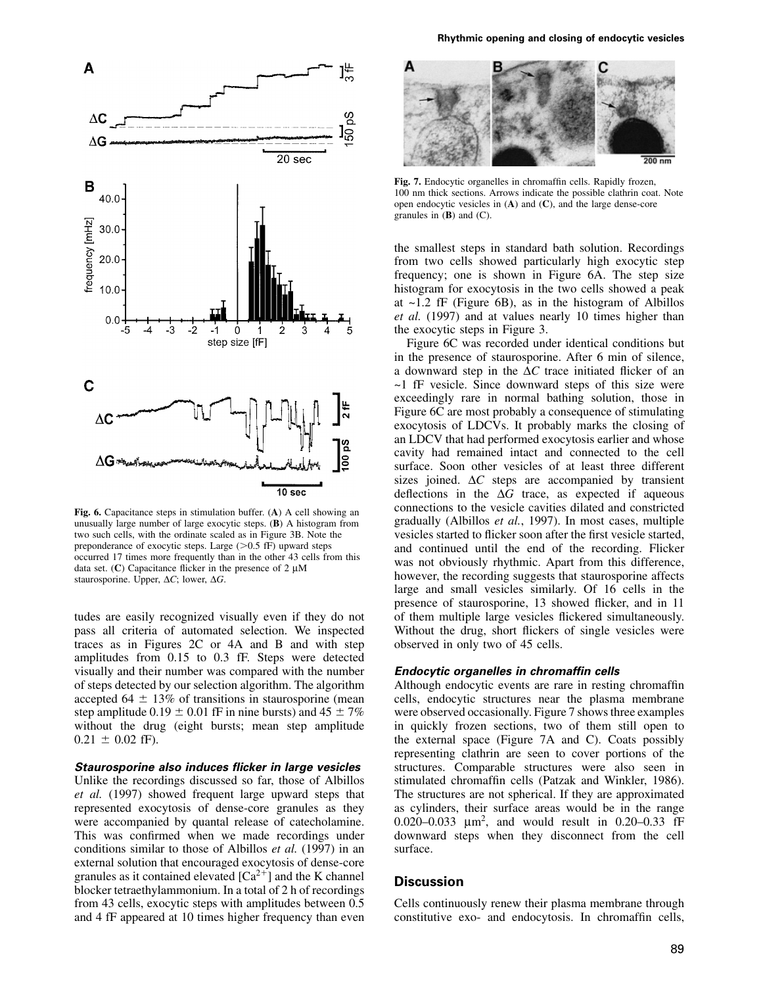

**Fig. 6.** Capacitance steps in stimulation buffer. (**A**) A cell showing an unusually large number of large exocytic steps. (**B**) A histogram from two such cells, with the ordinate scaled as in Figure 3B. Note the preponderance of exocytic steps. Large  $(>0.5 \text{ fF})$  upward steps occurred 17 times more frequently than in the other 43 cells from this data set.  $(C)$  Capacitance flicker in the presence of 2  $\mu$ M staurosporine. Upper, ∆*C*; lower, ∆*G*.

tudes are easily recognized visually even if they do not pass all criteria of automated selection. We inspected traces as in Figures 2C or 4A and B and with step amplitudes from 0.15 to 0.3 fF. Steps were detected visually and their number was compared with the number of steps detected by our selection algorithm. The algorithm accepted 64  $\pm$  13% of transitions in staurosporine (mean step amplitude 0.19  $\pm$  0.01 fF in nine bursts) and 45  $\pm$  7% without the drug (eight bursts; mean step amplitude  $0.21 \pm 0.02$  fF).

## *Staurosporine also induces flicker in large vesicles*

Unlike the recordings discussed so far, those of Albillos *et al.* (1997) showed frequent large upward steps that represented exocytosis of dense-core granules as they were accompanied by quantal release of catecholamine. This was confirmed when we made recordings under conditions similar to those of Albillos *et al.* (1997) in an external solution that encouraged exocytosis of dense-core granules as it contained elevated  $[Ca^{2+}]$  and the K channel blocker tetraethylammonium. In a total of 2 h of recordings from 43 cells, exocytic steps with amplitudes between 0.5 and 4 fF appeared at 10 times higher frequency than even



**Fig. 7.** Endocytic organelles in chromaffin cells. Rapidly frozen, 100 nm thick sections. Arrows indicate the possible clathrin coat. Note open endocytic vesicles in (**A**) and (**C**), and the large dense-core granules in (**B**) and (C).

the smallest steps in standard bath solution. Recordings from two cells showed particularly high exocytic step frequency; one is shown in Figure 6A. The step size histogram for exocytosis in the two cells showed a peak at  $\sim$ 1.2 fF (Figure 6B), as in the histogram of Albillos *et al.* (1997) and at values nearly 10 times higher than the exocytic steps in Figure 3.

Figure 6C was recorded under identical conditions but in the presence of staurosporine. After 6 min of silence, a downward step in the ∆*C* trace initiated flicker of an  $\sim$ 1 fF vesicle. Since downward steps of this size were exceedingly rare in normal bathing solution, those in Figure 6C are most probably a consequence of stimulating exocytosis of LDCVs. It probably marks the closing of an LDCV that had performed exocytosis earlier and whose cavity had remained intact and connected to the cell surface. Soon other vesicles of at least three different sizes joined. ∆*C* steps are accompanied by transient deflections in the ∆*G* trace, as expected if aqueous connections to the vesicle cavities dilated and constricted gradually (Albillos *et al.*, 1997). In most cases, multiple vesicles started to flicker soon after the first vesicle started, and continued until the end of the recording. Flicker was not obviously rhythmic. Apart from this difference, however, the recording suggests that staurosporine affects large and small vesicles similarly. Of 16 cells in the presence of staurosporine, 13 showed flicker, and in 11 of them multiple large vesicles flickered simultaneously. Without the drug, short flickers of single vesicles were observed in only two of 45 cells.

## *Endocytic organelles in chromaffin cells*

Although endocytic events are rare in resting chromaffin cells, endocytic structures near the plasma membrane were observed occasionally. Figure 7 shows three examples in quickly frozen sections, two of them still open to the external space (Figure 7A and C). Coats possibly representing clathrin are seen to cover portions of the structures. Comparable structures were also seen in stimulated chromaffin cells (Patzak and Winkler, 1986). The structures are not spherical. If they are approximated as cylinders, their surface areas would be in the range 0.020–0.033 µm2, and would result in 0.20–0.33 fF downward steps when they disconnect from the cell surface.

## **Discussion**

Cells continuously renew their plasma membrane through constitutive exo- and endocytosis. In chromaffin cells,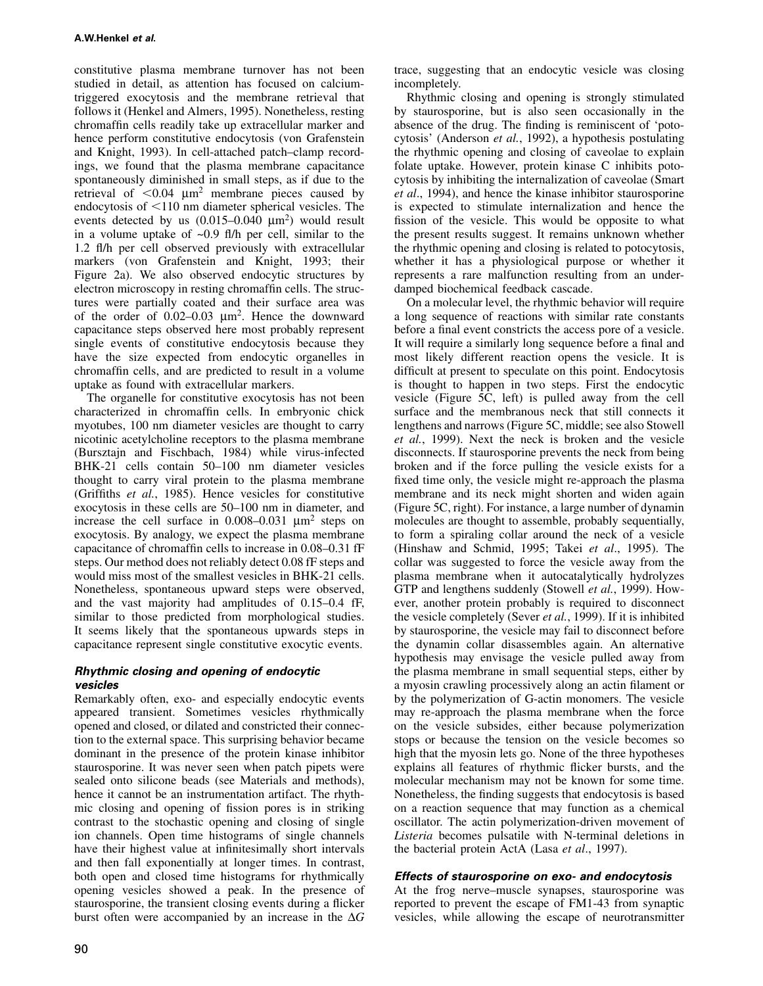constitutive plasma membrane turnover has not been studied in detail, as attention has focused on calciumtriggered exocytosis and the membrane retrieval that follows it (Henkel and Almers, 1995). Nonetheless, resting chromaffin cells readily take up extracellular marker and hence perform constitutive endocytosis (von Grafenstein and Knight, 1993). In cell-attached patch–clamp recordings, we found that the plasma membrane capacitance spontaneously diminished in small steps, as if due to the retrieval of  $\leq 0.04$   $\mu$ m<sup>2</sup> membrane pieces caused by endocytosis of  $\leq 110$  nm diameter spherical vesicles. The events detected by us  $(0.015-0.040 \text{ nm}^2)$  would result in a volume uptake of  $\sim 0.9$  fl/h per cell, similar to the 1.2 fl/h per cell observed previously with extracellular markers (von Grafenstein and Knight, 1993; their Figure 2a). We also observed endocytic structures by electron microscopy in resting chromaffin cells. The structures were partially coated and their surface area was of the order of  $0.02-0.03 \mu m^2$ . Hence the downward capacitance steps observed here most probably represent single events of constitutive endocytosis because they have the size expected from endocytic organelles in chromaffin cells, and are predicted to result in a volume uptake as found with extracellular markers.

The organelle for constitutive exocytosis has not been characterized in chromaffin cells. In embryonic chick myotubes, 100 nm diameter vesicles are thought to carry nicotinic acetylcholine receptors to the plasma membrane (Bursztajn and Fischbach, 1984) while virus-infected BHK-21 cells contain 50–100 nm diameter vesicles thought to carry viral protein to the plasma membrane (Griffiths *et al.*, 1985). Hence vesicles for constitutive exocytosis in these cells are 50–100 nm in diameter, and increase the cell surface in  $0.008-0.031$   $\mu$ m<sup>2</sup> steps on exocytosis. By analogy, we expect the plasma membrane capacitance of chromaffin cells to increase in 0.08–0.31 fF steps. Our method does not reliably detect 0.08 fF steps and would miss most of the smallest vesicles in BHK-21 cells. Nonetheless, spontaneous upward steps were observed, and the vast majority had amplitudes of 0.15–0.4 fF, similar to those predicted from morphological studies. It seems likely that the spontaneous upwards steps in capacitance represent single constitutive exocytic events.

## *Rhythmic closing and opening of endocytic vesicles*

Remarkably often, exo- and especially endocytic events appeared transient. Sometimes vesicles rhythmically opened and closed, or dilated and constricted their connection to the external space. This surprising behavior became dominant in the presence of the protein kinase inhibitor staurosporine. It was never seen when patch pipets were sealed onto silicone beads (see Materials and methods), hence it cannot be an instrumentation artifact. The rhythmic closing and opening of fission pores is in striking contrast to the stochastic opening and closing of single ion channels. Open time histograms of single channels have their highest value at infinitesimally short intervals and then fall exponentially at longer times. In contrast, both open and closed time histograms for rhythmically opening vesicles showed a peak. In the presence of staurosporine, the transient closing events during a flicker burst often were accompanied by an increase in the ∆*G* trace, suggesting that an endocytic vesicle was closing incompletely.

Rhythmic closing and opening is strongly stimulated by staurosporine, but is also seen occasionally in the absence of the drug. The finding is reminiscent of 'potocytosis' (Anderson *et al.*, 1992), a hypothesis postulating the rhythmic opening and closing of caveolae to explain folate uptake. However, protein kinase C inhibits potocytosis by inhibiting the internalization of caveolae (Smart *et al*., 1994), and hence the kinase inhibitor staurosporine is expected to stimulate internalization and hence the fission of the vesicle. This would be opposite to what the present results suggest. It remains unknown whether the rhythmic opening and closing is related to potocytosis, whether it has a physiological purpose or whether it represents a rare malfunction resulting from an underdamped biochemical feedback cascade.

On a molecular level, the rhythmic behavior will require a long sequence of reactions with similar rate constants before a final event constricts the access pore of a vesicle. It will require a similarly long sequence before a final and most likely different reaction opens the vesicle. It is difficult at present to speculate on this point. Endocytosis is thought to happen in two steps. First the endocytic vesicle (Figure 5C, left) is pulled away from the cell surface and the membranous neck that still connects it lengthens and narrows (Figure 5C, middle; see also Stowell *et al.*, 1999). Next the neck is broken and the vesicle disconnects. If staurosporine prevents the neck from being broken and if the force pulling the vesicle exists for a fixed time only, the vesicle might re-approach the plasma membrane and its neck might shorten and widen again (Figure 5C, right). For instance, a large number of dynamin molecules are thought to assemble, probably sequentially, to form a spiraling collar around the neck of a vesicle (Hinshaw and Schmid, 1995; Takei *et al*., 1995). The collar was suggested to force the vesicle away from the plasma membrane when it autocatalytically hydrolyzes GTP and lengthens suddenly (Stowell *et al.*, 1999). However, another protein probably is required to disconnect the vesicle completely (Sever *et al.*, 1999). If it is inhibited by staurosporine, the vesicle may fail to disconnect before the dynamin collar disassembles again. An alternative hypothesis may envisage the vesicle pulled away from the plasma membrane in small sequential steps, either by a myosin crawling processively along an actin filament or by the polymerization of G-actin monomers. The vesicle may re-approach the plasma membrane when the force on the vesicle subsides, either because polymerization stops or because the tension on the vesicle becomes so high that the myosin lets go. None of the three hypotheses explains all features of rhythmic flicker bursts, and the molecular mechanism may not be known for some time. Nonetheless, the finding suggests that endocytosis is based on a reaction sequence that may function as a chemical oscillator. The actin polymerization-driven movement of *Listeria* becomes pulsatile with N-terminal deletions in the bacterial protein ActA (Lasa *et al*., 1997).

## *Effects of staurosporine on exo- and endocytosis*

At the frog nerve–muscle synapses, staurosporine was reported to prevent the escape of FM1-43 from synaptic vesicles, while allowing the escape of neurotransmitter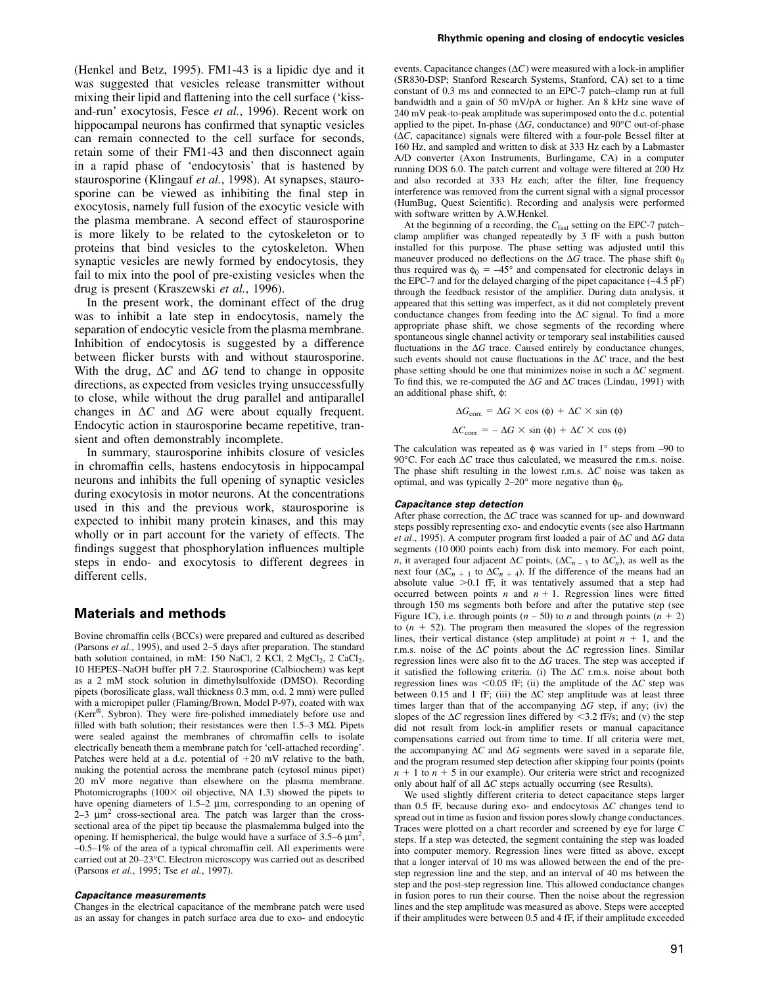(Henkel and Betz, 1995). FM1-43 is a lipidic dye and it was suggested that vesicles release transmitter without mixing their lipid and flattening into the cell surface ('kissand-run' exocytosis, Fesce *et al.*, 1996). Recent work on hippocampal neurons has confirmed that synaptic vesicles can remain connected to the cell surface for seconds, retain some of their FM1-43 and then disconnect again in a rapid phase of 'endocytosis' that is hastened by staurosporine (Klingauf *et al.*, 1998). At synapses, staurosporine can be viewed as inhibiting the final step in exocytosis, namely full fusion of the exocytic vesicle with the plasma membrane. A second effect of staurosporine is more likely to be related to the cytoskeleton or to proteins that bind vesicles to the cytoskeleton. When synaptic vesicles are newly formed by endocytosis, they fail to mix into the pool of pre-existing vesicles when the drug is present (Kraszewski *et al.*, 1996).

In the present work, the dominant effect of the drug was to inhibit a late step in endocytosis, namely the separation of endocytic vesicle from the plasma membrane. Inhibition of endocytosis is suggested by a difference between flicker bursts with and without staurosporine. With the drug, ∆*C* and ∆*G* tend to change in opposite directions, as expected from vesicles trying unsuccessfully to close, while without the drug parallel and antiparallel changes in ∆*C* and ∆*G* were about equally frequent. Endocytic action in staurosporine became repetitive, transient and often demonstrably incomplete.

In summary, staurosporine inhibits closure of vesicles in chromaffin cells, hastens endocytosis in hippocampal neurons and inhibits the full opening of synaptic vesicles during exocytosis in motor neurons. At the concentrations used in this and the previous work, staurosporine is expected to inhibit many protein kinases, and this may wholly or in part account for the variety of effects. The findings suggest that phosphorylation influences multiple steps in endo- and exocytosis to different degrees in different cells.

## **Materials and methods**

Bovine chromaffin cells (BCCs) were prepared and cultured as described (Parsons *et al.*, 1995), and used 2–5 days after preparation. The standard bath solution contained, in mM: 150 NaCl, 2 KCl, 2 MgCl<sub>2</sub>, 2 CaCl<sub>2</sub>, 10 HEPES–NaOH buffer pH 7.2. Staurosporine (Calbiochem) was kept as a 2 mM stock solution in dimethylsulfoxide (DMSO). Recording pipets (borosilicate glass, wall thickness 0.3 mm, o.d. 2 mm) were pulled with a micropipet puller (Flaming/Brown, Model P-97), coated with wax (Kerr®, Sybron). They were fire-polished immediately before use and filled with bath solution; their resistances were then  $1.5-3$  M $\Omega$ . Pipets were sealed against the membranes of chromaffin cells to isolate electrically beneath them a membrane patch for 'cell-attached recording'. Patches were held at a d.c. potential of  $+20$  mV relative to the bath, making the potential across the membrane patch (cytosol minus pipet) 20 mV more negative than elsewhere on the plasma membrane. Photomicrographs  $(100 \times$  oil objective, NA 1.3) showed the pipets to have opening diameters of 1.5–2  $\mu$ m, corresponding to an opening of  $2-3 \mu m^2$  cross-sectional area. The patch was larger than the crosssectional area of the pipet tip because the plasmalemma bulged into the opening. If hemispherical, the bulge would have a surface of  $3.5-6 \mu m^2$ ,  $\sim 0.5-1\%$  of the area of a typical chromaffin cell. All experiments were carried out at 20–23°C. Electron microscopy was carried out as described (Parsons *et al.*, 1995; Tse *et al.*, 1997).

#### *Capacitance measurements*

Changes in the electrical capacitance of the membrane patch were used as an assay for changes in patch surface area due to exo- and endocytic events. Capacitance changes (∆*C*) were measured with a lock-in amplifier (SR830-DSP; Stanford Research Systems, Stanford, CA) set to a time constant of 0.3 ms and connected to an EPC-7 patch–clamp run at full bandwidth and a gain of 50 mV/pA or higher. An 8 kHz sine wave of 240 mV peak-to-peak amplitude was superimposed onto the d.c. potential applied to the pipet. In-phase (∆*G*, conductance) and 90°C out-of-phase (∆*C*, capacitance) signals were filtered with a four-pole Bessel filter at 160 Hz, and sampled and written to disk at 333 Hz each by a Labmaster A/D converter (Axon Instruments, Burlingame, CA) in a computer running DOS 6.0. The patch current and voltage were filtered at 200 Hz and also recorded at 333 Hz each; after the filter, line frequency interference was removed from the current signal with a signal processor (HumBug, Quest Scientific). Recording and analysis were performed with software written by A.W.Henkel.

At the beginning of a recording, the *C*fast setting on the EPC-7 patch– clamp amplifier was changed repeatedly by 3 fF with a push button installed for this purpose. The phase setting was adjusted until this maneuver produced no deflections on the  $\Delta G$  trace. The phase shift  $\phi_0$ thus required was  $\phi_0 = -45^\circ$  and compensated for electronic delays in the EPC-7 and for the delayed charging of the pipet capacitance (~4.5 pF) through the feedback resistor of the amplifier. During data analysis, it appeared that this setting was imperfect, as it did not completely prevent conductance changes from feeding into the ∆*C* signal. To find a more appropriate phase shift, we chose segments of the recording where spontaneous single channel activity or temporary seal instabilities caused fluctuations in the ∆*G* trace. Caused entirely by conductance changes, such events should not cause fluctuations in the ∆*C* trace, and the best phase setting should be one that minimizes noise in such a ∆*C* segment. To find this, we re-computed the ∆*G* and ∆*C* traces (Lindau, 1991) with an additional phase shift, φ:

> $\Delta G$ <sub>corr.</sub> =  $\Delta G \times \cos (\phi) + \Delta C \times \sin (\phi)$  $\Delta C_{\text{corr}} = -\Delta G \times \sin (\phi) + \Delta C \times \cos (\phi)$

The calculation was repeated as  $\phi$  was varied in 1° steps from -90 to 90°C. For each ∆*C* trace thus calculated, we measured the r.m.s. noise. The phase shift resulting in the lowest r.m.s. ∆*C* noise was taken as optimal, and was typically 2–20 $^{\circ}$  more negative than  $\phi_0$ .

#### *Capacitance step detection*

After phase correction, the ∆*C* trace was scanned for up- and downward steps possibly representing exo- and endocytic events (see also Hartmann *et al*., 1995). A computer program first loaded a pair of ∆*C* and ∆*G* data segments (10 000 points each) from disk into memory. For each point, *n*, it averaged four adjacent  $\Delta C$  points, ( $\Delta C$ <sub>*n* – 3</sub> to  $\Delta C$ <sub>*n*</sub>), as well as the next four  $(\Delta C_{n+1}$  to  $\Delta C_{n+4})$ . If the difference of the means had an absolute value  $>0.1$  fF, it was tentatively assumed that a step had occurred between points  $n$  and  $n + 1$ . Regression lines were fitted through 150 ms segments both before and after the putative step (see Figure 1C), i.e. through points  $(n - 50)$  to *n* and through points  $(n + 2)$ to  $(n + 52)$ . The program then measured the slopes of the regression lines, their vertical distance (step amplitude) at point  $n + 1$ , and the r.m.s. noise of the ∆*C* points about the ∆*C* regression lines. Similar regression lines were also fit to the ∆*G* traces. The step was accepted if it satisfied the following criteria. (i) The ∆*C* r.m.s. noise about both regression lines was <0.05 fF; (ii) the amplitude of the  $\Delta C$  step was between 0.15 and 1 fF; (iii) the  $\Delta C$  step amplitude was at least three times larger than that of the accompanying ∆*G* step, if any; (iv) the slopes of the  $\Delta C$  regression lines differed by <3.2 fF/s; and (v) the step did not result from lock-in amplifier resets or manual capacitance compensations carried out from time to time. If all criteria were met, the accompanying ∆*C* and ∆*G* segments were saved in a separate file, and the program resumed step detection after skipping four points (points  $n + 1$  to  $n + 5$  in our example). Our criteria were strict and recognized only about half of all ∆*C* steps actually occurring (see Results).

We used slightly different criteria to detect capacitance steps larger than 0.5 fF, because during exo- and endocytosis ∆*C* changes tend to spread out in time as fusion and fission pores slowly change conductances. Traces were plotted on a chart recorder and screened by eye for large *C* steps. If a step was detected, the segment containing the step was loaded into computer memory. Regression lines were fitted as above, except that a longer interval of 10 ms was allowed between the end of the prestep regression line and the step, and an interval of 40 ms between the step and the post-step regression line. This allowed conductance changes in fusion pores to run their course. Then the noise about the regression lines and the step amplitude was measured as above. Steps were accepted if their amplitudes were between 0.5 and 4 fF, if their amplitude exceeded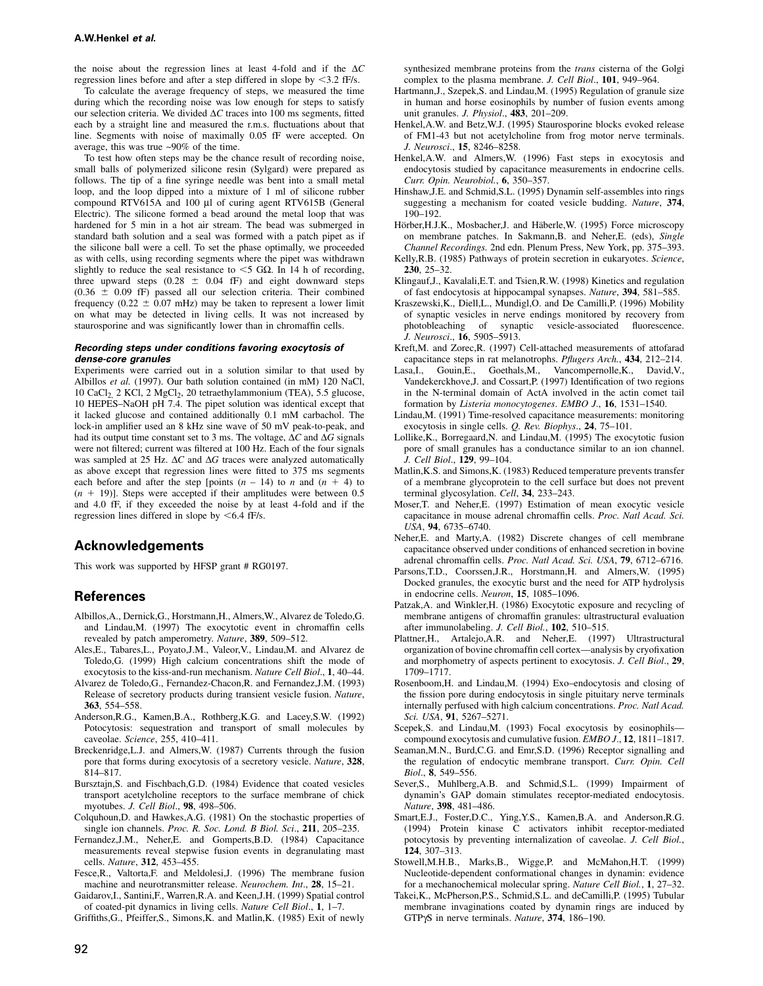the noise about the regression lines at least 4-fold and if the ∆*C* regression lines before and after a step differed in slope by <3.2 fF/s.

To calculate the average frequency of steps, we measured the time during which the recording noise was low enough for steps to satisfy our selection criteria. We divided ∆*C* traces into 100 ms segments, fitted each by a straight line and measured the r.m.s. fluctuations about that line. Segments with noise of maximally 0.05 fF were accepted. On average, this was true ~90% of the time.

To test how often steps may be the chance result of recording noise, small balls of polymerized silicone resin (Sylgard) were prepared as follows. The tip of a fine syringe needle was bent into a small metal loop, and the loop dipped into a mixture of 1 ml of silicone rubber compound RTV615A and 100 µl of curing agent RTV615B (General Electric). The silicone formed a bead around the metal loop that was hardened for 5 min in a hot air stream. The bead was submerged in standard bath solution and a seal was formed with a patch pipet as if the silicone ball were a cell. To set the phase optimally, we proceeded as with cells, using recording segments where the pipet was withdrawn slightly to reduce the seal resistance to  $\leq$  5 G $\Omega$ . In 14 h of recording, three upward steps  $(0.28 \pm 0.04 \text{ fF})$  and eight downward steps  $(0.36 \pm 0.09 \text{ fF})$  passed all our selection criteria. Their combined frequency ( $0.22 \pm 0.07$  mHz) may be taken to represent a lower limit on what may be detected in living cells. It was not increased by staurosporine and was significantly lower than in chromaffin cells.

### *Recording steps under conditions favoring exocytosis of dense-core granules*

Experiments were carried out in a solution similar to that used by Albillos *et al.* (1997). Our bath solution contained (in mM) 120 NaCl, 10 CaCl<sub>2</sub>, 2 KCl, 2 MgCl<sub>2</sub>, 20 tetraethylammonium (TEA), 5.5 glucose, 10 HEPES–NaOH pH 7.4. The pipet solution was identical except that it lacked glucose and contained additionally 0.1 mM carbachol. The lock-in amplifier used an 8 kHz sine wave of 50 mV peak-to-peak, and had its output time constant set to 3 ms. The voltage, ∆*C* and ∆*G* signals were not filtered; current was filtered at 100 Hz. Each of the four signals was sampled at 25 Hz. ∆*C* and ∆*G* traces were analyzed automatically as above except that regression lines were fitted to 375 ms segments each before and after the step [points  $(n - 14)$  to *n* and  $(n + 4)$  to  $(n + 19)$ ]. Steps were accepted if their amplitudes were between 0.5 and 4.0 fF, if they exceeded the noise by at least 4-fold and if the regression lines differed in slope by  $\leq 6.4$  fF/s.

## **Acknowledgements**

This work was supported by HFSP grant # RG0197.

## **References**

- Albillos,A., Dernick,G., Horstmann,H., Almers,W., Alvarez de Toledo,G. and Lindau,M. (1997) The exocytotic event in chromaffin cells revealed by patch amperometry. *Nature*, **389**, 509–512.
- Ales,E., Tabares,L., Poyato,J.M., Valeor,V., Lindau,M. and Alvarez de Toledo,G. (1999) High calcium concentrations shift the mode of exocytosis to the kiss-and-run mechanism. *Nature Cell Biol*., **1**, 40–44.
- Alvarez de Toledo,G., Fernandez-Chacon,R. and Fernandez,J.M. (1993) Release of secretory products during transient vesicle fusion. *Nature*, **363**, 554–558.
- Anderson,R.G., Kamen,B.A., Rothberg,K.G. and Lacey,S.W. (1992) Potocytosis: sequestration and transport of small molecules by caveolae. *Science*, 255, 410–411.
- Breckenridge,L.J. and Almers,W. (1987) Currents through the fusion pore that forms during exocytosis of a secretory vesicle. *Nature*, **328**, 814–817.
- Bursztajn,S. and Fischbach,G.D. (1984) Evidence that coated vesicles transport acetylcholine receptors to the surface membrane of chick myotubes. *J. Cell Biol*., **98**, 498–506.
- Colquhoun,D. and Hawkes,A.G. (1981) On the stochastic properties of single ion channels. *Proc. R. Soc. Lond. B Biol. Sci*., **211**, 205–235.
- Fernandez,J.M., Neher,E. and Gomperts,B.D. (1984) Capacitance measurements reveal stepwise fusion events in degranulating mast cells. *Nature*, **312**, 453–455.
- Fesce,R., Valtorta,F. and Meldolesi,J. (1996) The membrane fusion machine and neurotransmitter release. *Neurochem. Int*., **28**, 15–21.
- Gaidarov,I., Santini,F., Warren,R.A. and Keen,J.H. (1999) Spatial control of coated-pit dynamics in living cells. *Nature Cell Biol*., **1**, 1–7.

Griffiths,G., Pfeiffer,S., Simons,K. and Matlin,K. (1985) Exit of newly

synthesized membrane proteins from the *trans* cisterna of the Golgi complex to the plasma membrane. *J. Cell Biol*., **101**, 949–964.

- Hartmann,J., Szepek,S. and Lindau,M. (1995) Regulation of granule size in human and horse eosinophils by number of fusion events among unit granules. *J. Physiol*., **483**, 201–209.
- Henkel,A.W. and Betz,W.J. (1995) Staurosporine blocks evoked release of FM1-43 but not acetylcholine from frog motor nerve terminals. *J. Neurosci*., **15**, 8246–8258.
- Henkel,A.W. and Almers,W. (1996) Fast steps in exocytosis and endocytosis studied by capacitance measurements in endocrine cells. *Curr. Opin. Neurobiol.*, **6**, 350–357.
- Hinshaw, J.E. and Schmid, S.L. (1995) Dynamin self-assembles into rings suggesting a mechanism for coated vesicle budding. *Nature*, **374**, 190–192.
- Hörber, H.J.K., Mosbacher, J. and Häberle, W. (1995) Force microscopy on membrane patches. In Sakmann,B. and Neher,E. (eds), *Single Channel Recordings.* 2nd edn. Plenum Press, New York, pp. 375–393.
- Kelly,R.B. (1985) Pathways of protein secretion in eukaryotes. *Science*, **230**, 25–32.
- Klingauf,J., Kavalali,E.T. and Tsien,R.W. (1998) Kinetics and regulation of fast endocytosis at hippocampal synapses. *Nature*, **394**, 581–585.
- Kraszewski,K., Diell,L., Mundigl,O. and De Camilli,P. (1996) Mobility of synaptic vesicles in nerve endings monitored by recovery from photobleaching of synaptic vesicle-associated fluorescence. photobleaching of synaptic *J. Neurosci*., **16**, 5905–5913.
- Kreft,M. and Zorec,R. (1997) Cell-attached measurements of attofarad capacitance steps in rat melanotrophs. *Pflugers Arch.*, **434**, 212–214.
- Lasa,I., Gouin,E., Goethals,M., Vancompernolle,K., David, V., Vandekerckhove,J. and Cossart,P. (1997) Identification of two regions in the N-terminal domain of ActA involved in the actin comet tail formation by *Listeria monocytogenes*. *EMBO J*., **16**, 1531–1540.
- Lindau,M. (1991) Time-resolved capacitance measurements: monitoring exocytosis in single cells. *Q. Rev. Biophys*., **24**, 75–101.
- Lollike,K., Borregaard,N. and Lindau,M. (1995) The exocytotic fusion pore of small granules has a conductance similar to an ion channel. *J. Cell Biol*., **129**, 99–104.
- Matlin,K.S. and Simons,K. (1983) Reduced temperature prevents transfer of a membrane glycoprotein to the cell surface but does not prevent terminal glycosylation. *Cell*, **34**, 233–243.
- Moser,T. and Neher,E. (1997) Estimation of mean exocytic vesicle capacitance in mouse adrenal chromaffin cells. *Proc. Natl Acad. Sci. USA*, **94**, 6735–6740.
- Neher,E. and Marty,A. (1982) Discrete changes of cell membrane capacitance observed under conditions of enhanced secretion in bovine adrenal chromaffin cells. *Proc. Natl Acad. Sci. USA*, **79**, 6712–6716.
- Parsons,T.D., Coorssen,J.R., Horstmann,H. and Almers,W. (1995) Docked granules, the exocytic burst and the need for ATP hydrolysis in endocrine cells. *Neuron*, **15**, 1085–1096.
- Patzak,A. and Winkler,H. (1986) Exocytotic exposure and recycling of membrane antigens of chromaffin granules: ultrastructural evaluation after immunolabeling. *J. Cell Biol.*, **102**, 510–515.
- Plattner,H., Artalejo,A.R. and Neher,E. (1997) Ultrastructural organization of bovine chromaffin cell cortex—analysis by cryofixation and morphometry of aspects pertinent to exocytosis. *J. Cell Biol*., **29**, 1709–1717.
- Rosenboom,H. and Lindau,M. (1994) Exo–endocytosis and closing of the fission pore during endocytosis in single pituitary nerve terminals internally perfused with high calcium concentrations. *Proc. Natl Acad. Sci. USA*, **91**, 5267–5271.
- Scepek,S. and Lindau,M. (1993) Focal exocytosis by eosinophils compound exocytosis and cumulative fusion. *EMBO J*., **12**, 1811–1817.
- Seaman,M.N., Burd,C.G. and Emr,S.D. (1996) Receptor signalling and the regulation of endocytic membrane transport. *Curr. Opin. Cell Biol*., **8**, 549–556.
- Sever,S., Muhlberg,A.B. and Schmid,S.L. (1999) Impairment of dynamin's GAP domain stimulates receptor-mediated endocytosis. *Nature*, **398**, 481–486.
- Smart,E.J., Foster,D.C., Ying,Y.S., Kamen,B.A. and Anderson,R.G. (1994) Protein kinase C activators inhibit receptor-mediated potocytosis by preventing internalization of caveolae. *J. Cell Biol.*, **124**, 307–313.
- Stowell,M.H.B., Marks,B., Wigge,P. and McMahon,H.T. (1999) Nucleotide-dependent conformational changes in dynamin: evidence for a mechanochemical molecular spring. *Nature Cell Biol.*, **1**, 27–32.
- Takei,K., McPherson,P.S., Schmid,S.L. and deCamilli,P. (1995) Tubular membrane invaginations coated by dynamin rings are induced by GTPγS in nerve terminals. *Nature*, **374**, 186–190.